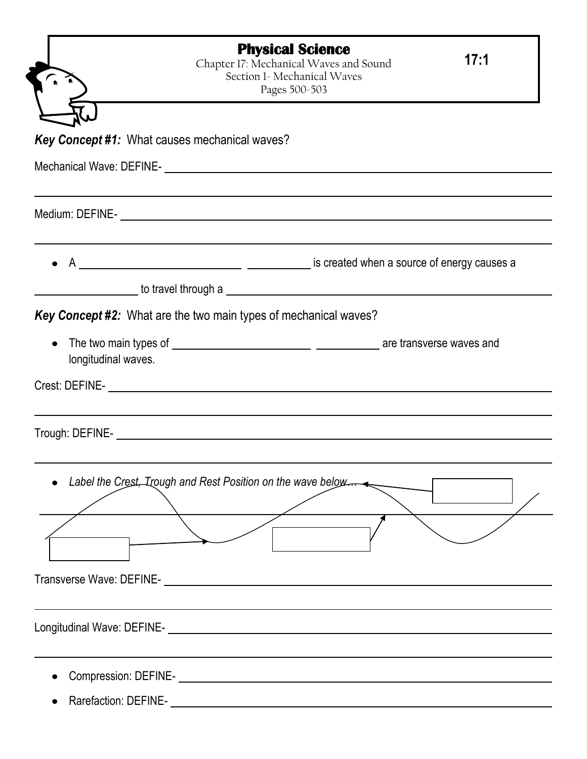|                     | <b>Physical Science</b><br>Chapter 17: Mechanical Waves and Sound<br>Section 1- Mechanical Waves<br>Pages 500-503 | 17:1 |
|---------------------|-------------------------------------------------------------------------------------------------------------------|------|
|                     |                                                                                                                   |      |
|                     | <b>Key Concept #1: What causes mechanical waves?</b>                                                              |      |
|                     |                                                                                                                   |      |
|                     |                                                                                                                   |      |
|                     |                                                                                                                   |      |
|                     | <b>Example 2016</b> to travel through a                                                                           |      |
|                     | <b>Key Concept #2:</b> What are the two main types of mechanical waves?                                           |      |
| longitudinal waves. |                                                                                                                   |      |
|                     |                                                                                                                   |      |
|                     | Trough: DEFINE-                                                                                                   |      |
|                     | Label the Crest, Irough and Rest Position on the wave below                                                       |      |
|                     |                                                                                                                   |      |
|                     |                                                                                                                   |      |
|                     |                                                                                                                   |      |
|                     |                                                                                                                   |      |
|                     |                                                                                                                   |      |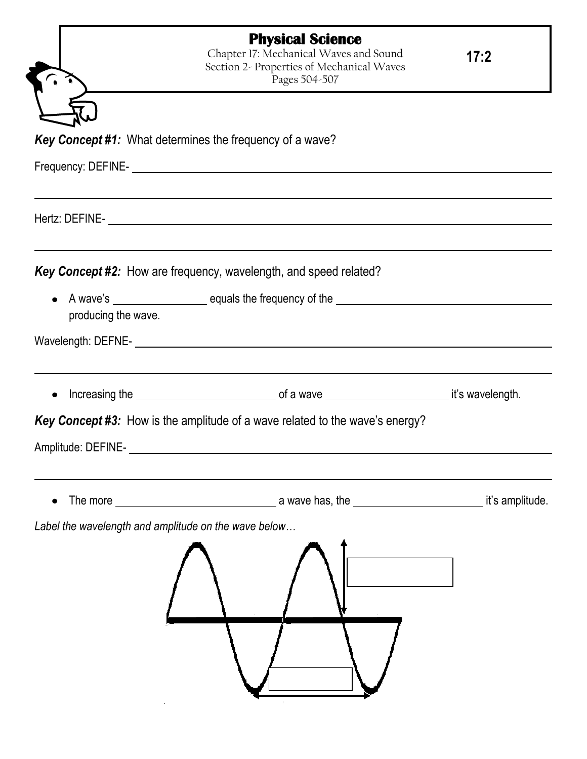|                                                      | <b>Physical Science</b><br>Chapter 17: Mechanical Waves and Sound<br>Section 2- Properties of Mechanical Waves<br>Pages 504-507 | 17:2            |
|------------------------------------------------------|---------------------------------------------------------------------------------------------------------------------------------|-----------------|
|                                                      |                                                                                                                                 |                 |
|                                                      | <b>Key Concept #1:</b> What determines the frequency of a wave?                                                                 |                 |
|                                                      |                                                                                                                                 |                 |
|                                                      | Hertz: DEFINE-                                                                                                                  |                 |
|                                                      |                                                                                                                                 |                 |
|                                                      | Key Concept #2: How are frequency, wavelength, and speed related?                                                               |                 |
| producing the wave.                                  |                                                                                                                                 |                 |
|                                                      | Wavelength: DEFNE-<br><u> Wavelength: DEFNE-</u>                                                                                |                 |
| $\bullet$                                            |                                                                                                                                 |                 |
|                                                      | <b>Key Concept #3:</b> How is the amplitude of a wave related to the wave's energy?                                             |                 |
| Amplitude: DEFINE-                                   |                                                                                                                                 |                 |
|                                                      |                                                                                                                                 | it's amplitude. |
| Label the wavelength and amplitude on the wave below |                                                                                                                                 |                 |
|                                                      |                                                                                                                                 |                 |
|                                                      |                                                                                                                                 |                 |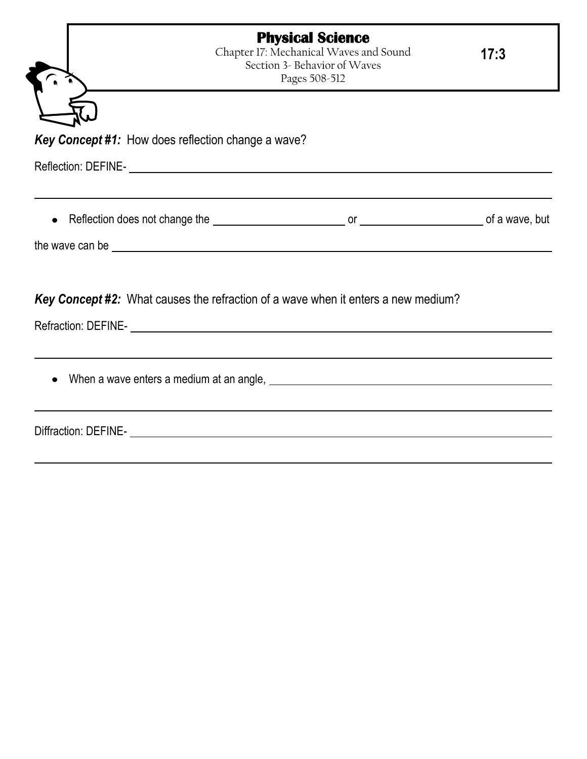|                                                           | <b>Physical Science</b><br>Chapter 17: Mechanical Waves and Sound<br>Section 3- Behavior of Waves<br>Pages 508-512                                                                                                                   | 17:3 |
|-----------------------------------------------------------|--------------------------------------------------------------------------------------------------------------------------------------------------------------------------------------------------------------------------------------|------|
|                                                           |                                                                                                                                                                                                                                      |      |
| <b>Key Concept #1:</b> How does reflection change a wave? |                                                                                                                                                                                                                                      |      |
|                                                           | Reflection: DEFINE- Letter and the contract of the contract of the contract of the contract of the contract of                                                                                                                       |      |
| $\bullet$                                                 |                                                                                                                                                                                                                                      |      |
|                                                           | the wave can be <u>expression and the set of the set of the set of the set of the set of the set of the set of the set of the set of the set of the set of the set of the set of the set of the set of the set of the set of the</u> |      |
|                                                           | <b>Key Concept #2:</b> What causes the refraction of a wave when it enters a new medium?                                                                                                                                             |      |
|                                                           |                                                                                                                                                                                                                                      |      |
|                                                           |                                                                                                                                                                                                                                      |      |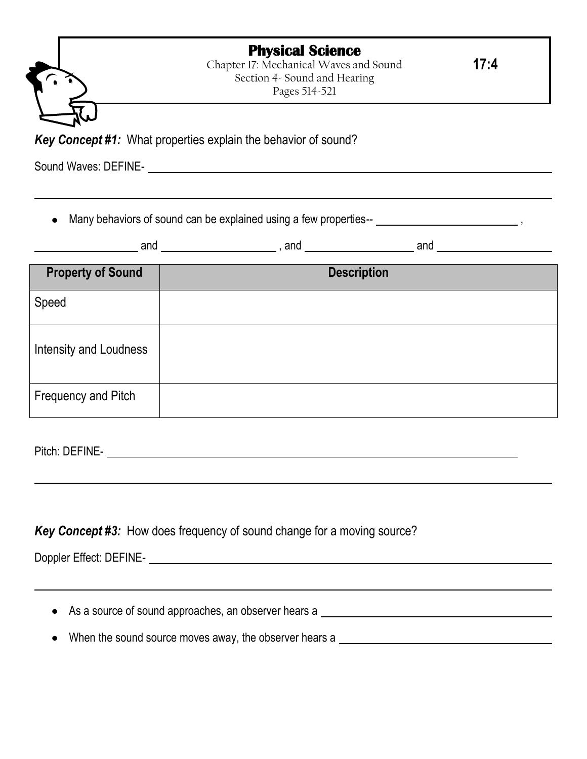| <b>Physical Science</b> |  |
|-------------------------|--|
|-------------------------|--|

Chapter 17: Mechanical Waves and Sound Section 4- Sound and Hearing Pages 514-521

**17:4**

*Key Concept #1:* What properties explain the behavior of sound?

Sound Waves: DEFINE-

Many behaviors of sound can be explained using a few properties--  $\frac{1}{1}$ ,  $\frac{1}{1}$ ,  $\frac{1}{1}$ ,  $\frac{1}{1}$ ,  $\frac{1}{1}$ ,  $\frac{1}{1}$ ,  $\frac{1}{1}$ ,  $\frac{1}{1}$ ,  $\frac{1}{1}$ ,  $\frac{1}{1}$ ,  $\frac{1}{1}$ ,  $\frac{1}{1}$ ,  $\frac{1}{1}$ ,  $\frac{1}{1}$ ,  $\$  $\bullet$ 

| <b></b><br>.<br>anc<br>anc<br>ano<br>. . |
|------------------------------------------|
|------------------------------------------|

| <b>Property of Sound</b> | <b>Description</b> |
|--------------------------|--------------------|
| Speed                    |                    |
| Intensity and Loudness   |                    |
| Frequency and Pitch      |                    |

Pitch: DEFINE-

## *Key Concept #3:* How does frequency of sound change for a moving source?

Doppler Effect: DEFINE-

• As a source of sound approaches, an observer hears a subsequently approached a series of the series of the series of the series of the series of the series of the series of the series of the series of the series of the s

• When the sound source moves away, the observer hears a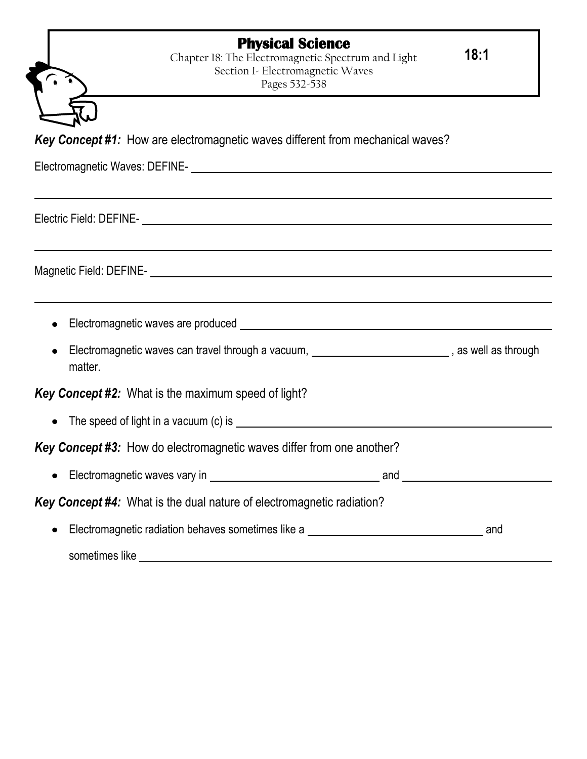## **Physical Science**

Chapter 18: The Electromagnetic Spectrum and Light Section 1- Electromagnetic Waves Pages 532-538

**18:1**

*Key Concept #1:* How are electromagnetic waves different from mechanical waves?

Electromagnetic Waves: DEFINE-

Electric Field: DEFINE-

Magnetic Field: DEFINE-

- Electromagnetic waves are produced example and the example of the example of  $\sim$  Electromagnetic waves are produced
- Electromagnetic waves can travel through a vacuum, **contract and the set of the set of the set of the set of the set of the set of the set of the set of the set of the set of the set of the set of the set of the set of the** matter.

## *Key Concept #2:* What is the maximum speed of light?

The speed of light in a vacuum (c) is

*Key Concept #3:* How do electromagnetic waves differ from one another?

Electromagnetic waves vary in and

*Key Concept #4:* What is the dual nature of electromagnetic radiation?

Electromagnetic radiation behaves sometimes like a and  $\bullet$ sometimes like **structures**  $\frac{1}{2}$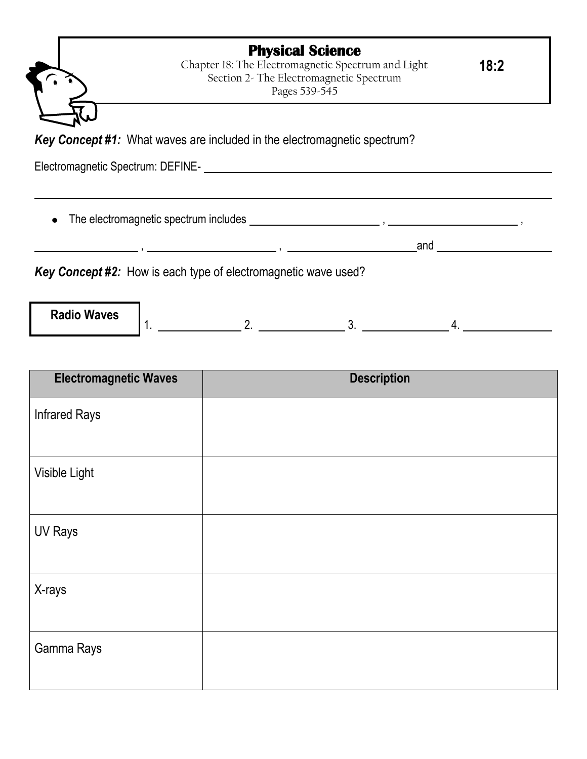|                                   | <b>Physical Science</b><br>Chapter 18: The Electromagnetic Spectrum and Light<br>Section 2- The Electromagnetic Spectrum<br>Pages 539-545 | 18:2 |
|-----------------------------------|-------------------------------------------------------------------------------------------------------------------------------------------|------|
|                                   |                                                                                                                                           |      |
|                                   | <b>Key Concept #1:</b> What waves are included in the electromagnetic spectrum?                                                           |      |
| Electromagnetic Spectrum: DEFINE- |                                                                                                                                           |      |
|                                   |                                                                                                                                           |      |
|                                   | and                                                                                                                                       |      |
|                                   |                                                                                                                                           |      |
|                                   |                                                                                                                                           |      |
|                                   | Key Concept #2: How is each type of electromagnetic wave used?                                                                            |      |

| <b>INGUIU VYAVUS</b><br>. |  |  |  |
|---------------------------|--|--|--|
|                           |  |  |  |
|                           |  |  |  |
|                           |  |  |  |

| <b>Electromagnetic Waves</b> | <b>Description</b> |
|------------------------------|--------------------|
| <b>Infrared Rays</b>         |                    |
|                              |                    |
| Visible Light                |                    |
|                              |                    |
| <b>UV Rays</b>               |                    |
|                              |                    |
| X-rays                       |                    |
|                              |                    |
| Gamma Rays                   |                    |
|                              |                    |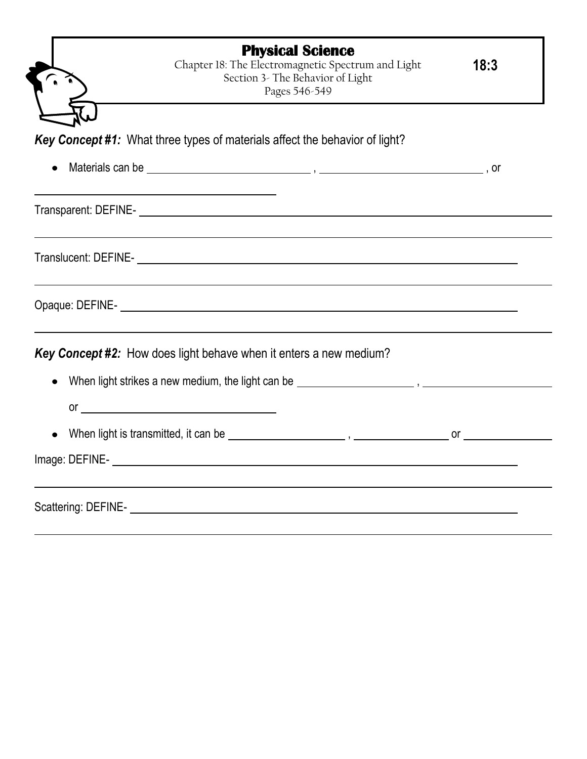| <b>Physical Science</b><br>Chapter 18: The Electromagnetic Spectrum and Light<br>Section 3- The Behavior of Light<br>Pages 546-549 | 18:3 |
|------------------------------------------------------------------------------------------------------------------------------------|------|
|                                                                                                                                    |      |
| Key Concept #1: What three types of materials affect the behavior of light?                                                        |      |
|                                                                                                                                    |      |
|                                                                                                                                    |      |
|                                                                                                                                    |      |
|                                                                                                                                    |      |
| <b>Key Concept #2:</b> How does light behave when it enters a new medium?                                                          |      |
|                                                                                                                                    |      |
|                                                                                                                                    |      |
| $or \fbox{---}$                                                                                                                    |      |
|                                                                                                                                    |      |